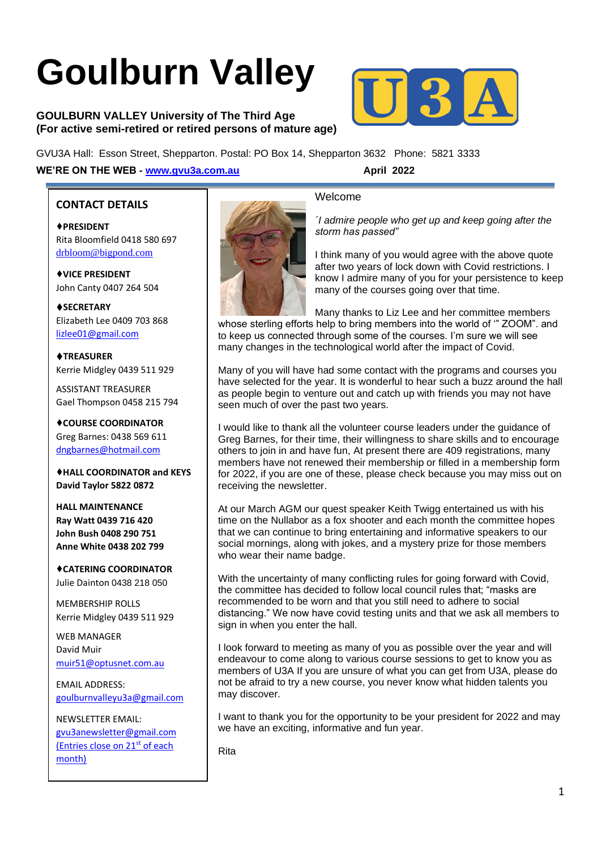# **Goulburn Valley**

**GOULBURN VALLEY University of The Third Age (For active semi-retired or retired persons of mature age)**



GVU3A Hall: Esson Street, Shepparton. Postal: PO Box 14, Shepparton 3632 Phone: 5821 3333 **WE'RE ON THE WEB - [www.gvu3a.com.au](http://www.gvu3a.com.au/) April 2022**

l

#### **CONTACT DETAILS**

♦**PRESIDENT** Rita Bloomfield 0418 580 697 [drbloom@bigpond.com](mailto:drbloom@bigpond.com)

♦**VICE PRESIDENT** John Canty 0407 264 504

♦**SECRETARY** Elizabeth Lee 0409 703 868 [lizlee01@gmail.com](mailto:lizlee01@gmail.com)

♦**TREASURER** Kerrie Midgley 0439 511 929

ASSISTANT TREASURER Gael Thompson 0458 215 794

♦**COURSE COORDINATOR**  Greg Barnes: 0438 569 611 [dngbarnes@hotmail.com](mailto:dngbarnes@hotmail.com)

♦**HALL COORDINATOR and KEYS David Taylor 5822 0872**

**HALL MAINTENANCE Ray Watt 0439 716 420 John Bush 0408 290 751 Anne White 0438 202 799**

♦**CATERING COORDINATOR** Julie Dainton 0438 218 050

MEMBERSHIP ROLLS Kerrie Midgley 0439 511 929

WEB MANAGER David Muir [muir51@optusnet.com.au](mailto:muir51@optusnet.com.au)

EMAIL ADDRESS: [goulburnvalleyu3a@gmail.com](mailto:goulburnvalleyu3a@gmail.com)

NEWSLETTER EMAIL: [gvu3anewsletter@gmail.com](mailto:gvu3anewsletter@gmail.com) (Entries close on 21<sup>st</sup> of each month)



#### Welcome

*´I admire people who get up and keep going after the storm has passed"*

I think many of you would agree with the above quote after two years of lock down with Covid restrictions. I know I admire many of you for your persistence to keep many of the courses going over that time.

Many thanks to Liz Lee and her committee members whose sterling efforts help to bring members into the world of '" ZOOM". and to keep us connected through some of the courses. I'm sure we will see many changes in the technological world after the impact of Covid.

Many of you will have had some contact with the programs and courses you have selected for the year. It is wonderful to hear such a buzz around the hall as people begin to venture out and catch up with friends you may not have seen much of over the past two years.

I would like to thank all the volunteer course leaders under the guidance of Greg Barnes, for their time, their willingness to share skills and to encourage others to join in and have fun, At present there are 409 registrations, many members have not renewed their membership or filled in a membership form for 2022, if you are one of these, please check because you may miss out on receiving the newsletter.

At our March AGM our quest speaker Keith Twigg entertained us with his time on the Nullabor as a fox shooter and each month the committee hopes that we can continue to bring entertaining and informative speakers to our social mornings, along with jokes, and a mystery prize for those members who wear their name badge.

With the uncertainty of many conflicting rules for going forward with Covid, the committee has decided to follow local council rules that; "masks are recommended to be worn and that you still need to adhere to social distancing." We now have covid testing units and that we ask all members to sign in when you enter the hall.

I look forward to meeting as many of you as possible over the year and will endeavour to come along to various course sessions to get to know you as members of U3A If you are unsure of what you can get from U3A, please do not be afraid to try a new course, you never know what hidden talents you may discover.

I want to thank you for the opportunity to be your president for 2022 and may we have an exciting, informative and fun year.

Rita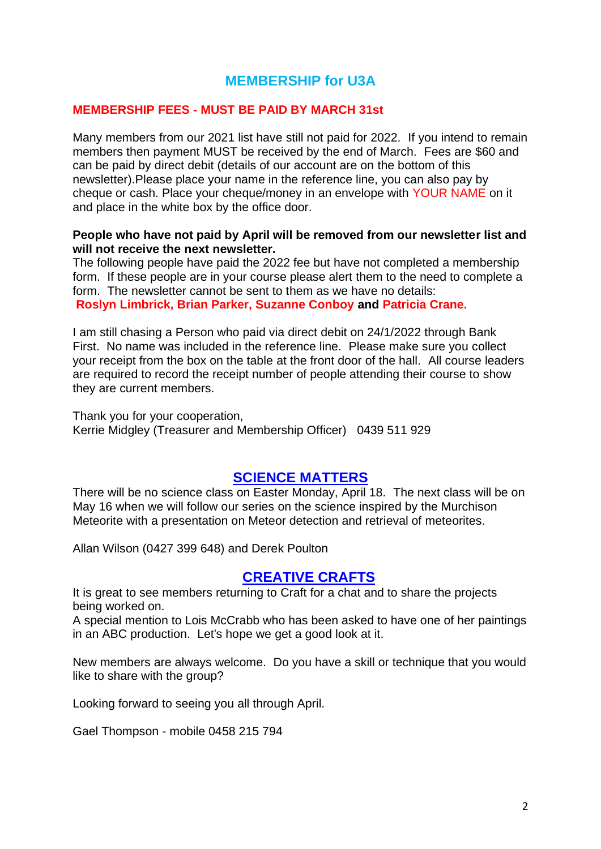## **MEMBERSHIP for U3A**

#### **MEMBERSHIP FEES - MUST BE PAID BY MARCH 31st**

Many members from our 2021 list have still not paid for 2022. If you intend to remain members then payment MUST be received by the end of March. Fees are \$60 and can be paid by direct debit (details of our account are on the bottom of this newsletter).Please place your name in the reference line, you can also pay by cheque or cash. Place your cheque/money in an envelope with YOUR NAME on it and place in the white box by the office door.

#### **People who have not paid by April will be removed from our newsletter list and will not receive the next newsletter.**

The following people have paid the 2022 fee but have not completed a membership form. If these people are in your course please alert them to the need to complete a form. The newsletter cannot be sent to them as we have no details: **Roslyn Limbrick, Brian Parker, Suzanne Conboy and Patricia Crane.** 

I am still chasing a Person who paid via direct debit on 24/1/2022 through Bank First. No name was included in the reference line. Please make sure you collect your receipt from the box on the table at the front door of the hall. All course leaders are required to record the receipt number of people attending their course to show they are current members.

Thank you for your cooperation, Kerrie Midgley (Treasurer and Membership Officer) 0439 511 929

## **[SCIENCE MATTERS](https://www.gvu3a.com.au/science-matters)**

There will be no science class on Easter Monday, April 18. The next class will be on May 16 when we will follow our series on the science inspired by the Murchison Meteorite with a presentation on Meteor detection and retrieval of meteorites.

Allan Wilson (0427 399 648) and Derek Poulton

## **[CREATIVE CRAFTS](https://www.gvu3a.com.au/creative-craft)**

It is great to see members returning to Craft for a chat and to share the projects being worked on.

A special mention to Lois McCrabb who has been asked to have one of her paintings in an ABC production. Let's hope we get a good look at it.

New members are always welcome. Do you have a skill or technique that you would like to share with the group?

Looking forward to seeing you all through April.

Gael Thompson - mobile 0458 215 794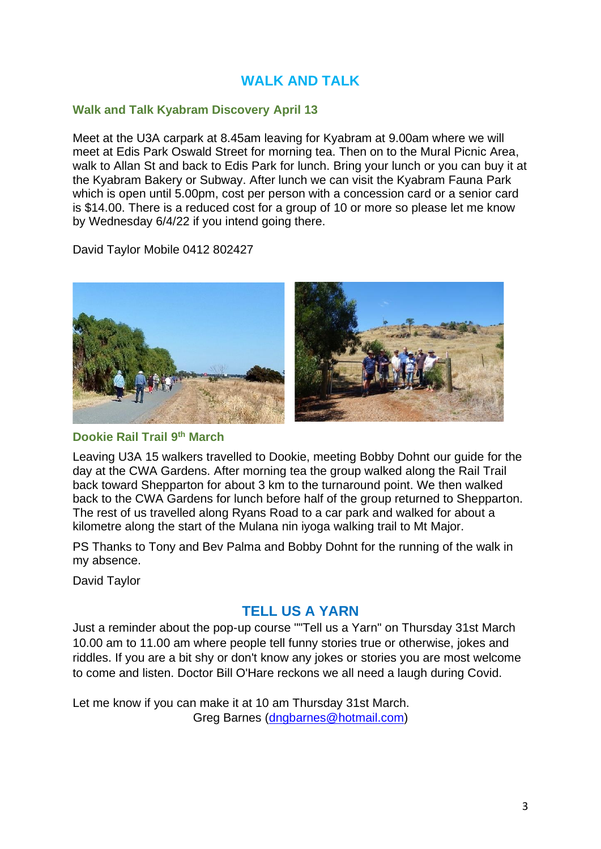# **WALK AND TALK**

#### **Walk and Talk Kyabram Discovery April 13**

Meet at the U3A carpark at 8.45am leaving for Kyabram at 9.00am where we will meet at Edis Park Oswald Street for morning tea. Then on to the Mural Picnic Area, walk to Allan St and back to Edis Park for lunch. Bring your lunch or you can buy it at the Kyabram Bakery or Subway. After lunch we can visit the Kyabram Fauna Park which is open until 5.00pm, cost per person with a concession card or a senior card is \$14.00. There is a reduced cost for a group of 10 or more so please let me know by Wednesday 6/4/22 if you intend going there.

David Taylor Mobile 0412 802427



#### **Dookie Rail Trail 9th March**

Leaving U3A 15 walkers travelled to Dookie, meeting Bobby Dohnt our guide for the day at the CWA Gardens. After morning tea the group walked along the Rail Trail back toward Shepparton for about 3 km to the turnaround point. We then walked back to the CWA Gardens for lunch before half of the group returned to Shepparton. The rest of us travelled along Ryans Road to a car park and walked for about a kilometre along the start of the Mulana nin iyoga walking trail to Mt Major.

PS Thanks to Tony and Bev Palma and Bobby Dohnt for the running of the walk in my absence.

David Taylor

## **TELL US A YARN**

Just a reminder about the pop-up course ""Tell us a Yarn" on Thursday 31st March 10.00 am to 11.00 am where people tell funny stories true or otherwise, jokes and riddles. If you are a bit shy or don't know any jokes or stories you are most welcome to come and listen. Doctor Bill O'Hare reckons we all need a laugh during Covid.

Let me know if you can make it at 10 am Thursday 31st March. Greg Barnes [\(dngbarnes@hotmail.com\)](mailto:dngbarnes@hotmail.com)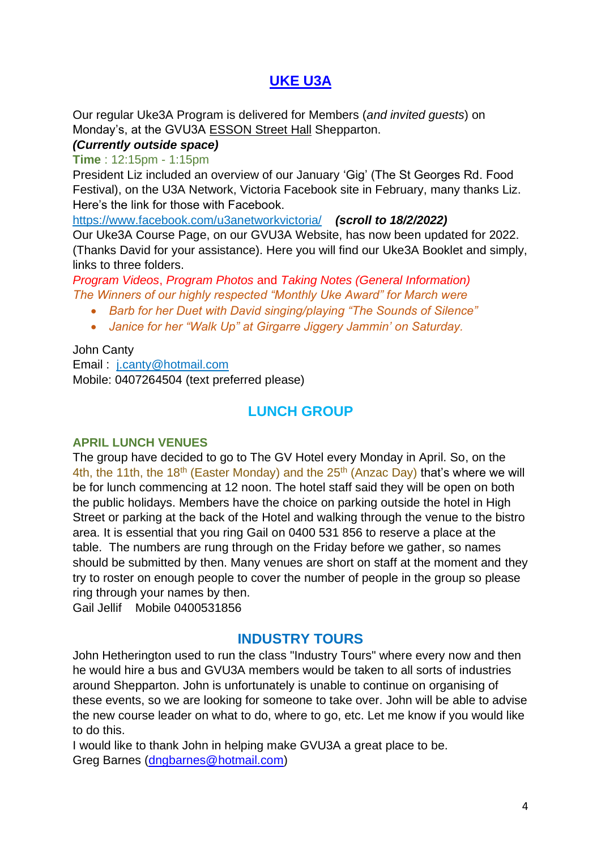# **[UKE U3A](https://www.gvu3a.com.au/uke3a)**

Our regular Uke3A Program is delivered for Members (*and invited guests*) on Monday's, at the GVU3A ESSON Street Hall Shepparton.

## *(Currently outside space)*

## **Time** : 12:15pm - 1:15pm

President Liz included an overview of our January 'Gig' (The St Georges Rd. Food Festival), on the U3A Network, Victoria Facebook site in February, many thanks Liz. Here's the link for those with Facebook.

<https://www.facebook.com/u3anetworkvictoria/>*(scroll to 18/2/2022)* Our Uke3A Course Page, on our GVU3A Website, has now been updated for 2022. (Thanks David for your assistance). Here you will find our Uke3A Booklet and simply, links to three folders.

*Program Videos*, *Program Photos* and *Taking Notes (General Information) The Winners of our highly respected "Monthly Uke Award" for March were*

- *Barb for her Duet with David singing/playing "The Sounds of Silence"*
- *Janice for her "Walk Up" at Girgarre Jiggery Jammin' on Saturday.*

John Canty

Email : [j.canty@hotmail.com](mailto:j.canty@hotmail.com) Mobile: 0407264504 (text preferred please)

# **LUNCH GROUP**

## **APRIL LUNCH VENUES**

The group have decided to go to The GV Hotel every Monday in April. So, on the 4th, the 11th, the 18<sup>th</sup> (Easter Monday) and the  $25<sup>th</sup>$  (Anzac Day) that's where we will be for lunch commencing at 12 noon. The hotel staff said they will be open on both the public holidays. Members have the choice on parking outside the hotel in High Street or parking at the back of the Hotel and walking through the venue to the bistro area. It is essential that you ring Gail on 0400 531 856 to reserve a place at the table. The numbers are rung through on the Friday before we gather, so names should be submitted by then. Many venues are short on staff at the moment and they try to roster on enough people to cover the number of people in the group so please ring through your names by then.

Gail Jellif Mobile 0400531856

## **INDUSTRY TOURS**

John Hetherington used to run the class "Industry Tours" where every now and then he would hire a bus and GVU3A members would be taken to all sorts of industries around Shepparton. John is unfortunately is unable to continue on organising of these events, so we are looking for someone to take over. John will be able to advise the new course leader on what to do, where to go, etc. Let me know if you would like to do this.

I would like to thank John in helping make GVU3A a great place to be. Greg Barnes [\(dngbarnes@hotmail.com\)](mailto:dngbarnes@hotmail.com)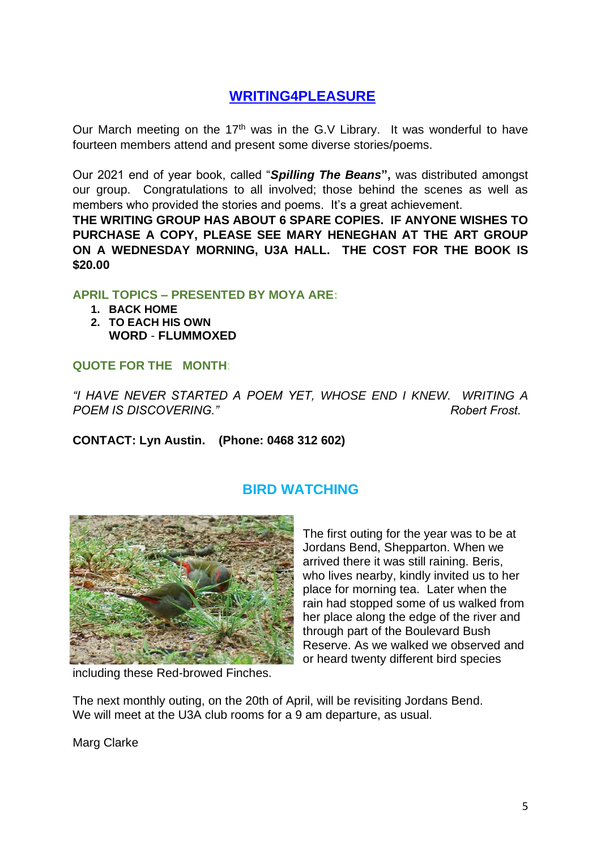# **[WRITING4PLEASURE](https://www.gvu3a.com.au/writing-for-pleasure)**

Our March meeting on the 17<sup>th</sup> was in the G.V Library. It was wonderful to have fourteen members attend and present some diverse stories/poems.

Our 2021 end of year book, called "*Spilling The Beans***",** was distributed amongst our group. Congratulations to all involved; those behind the scenes as well as members who provided the stories and poems. It's a great achievement.

**THE WRITING GROUP HAS ABOUT 6 SPARE COPIES. IF ANYONE WISHES TO PURCHASE A COPY, PLEASE SEE MARY HENEGHAN AT THE ART GROUP ON A WEDNESDAY MORNING, U3A HALL. THE COST FOR THE BOOK IS \$20.00** 

#### **APRIL TOPICS – PRESENTED BY MOYA ARE:**

- **1. BACK HOME**
- **2. TO EACH HIS OWN WORD** - **FLUMMOXED**

## **QUOTE FOR THE MONTH**:

*"I HAVE NEVER STARTED A POEM YET, WHOSE END I KNEW. WRITING A POEM IS DISCOVERING." Robert Frost.*

**CONTACT: Lyn Austin. (Phone: 0468 312 602)**



# **BIRD WATCHING**

The first outing for the year was to be at Jordans Bend, Shepparton. When we arrived there it was still raining. Beris, who lives nearby, kindly invited us to her place for morning tea. Later when the rain had stopped some of us walked from her place along the edge of the river and through part of the Boulevard Bush Reserve. As we walked we observed and or heard twenty different bird species

including these Red-browed Finches.

The next monthly outing, on the 20th of April, will be revisiting Jordans Bend. We will meet at the U3A club rooms for a 9 am departure, as usual.

Marg Clarke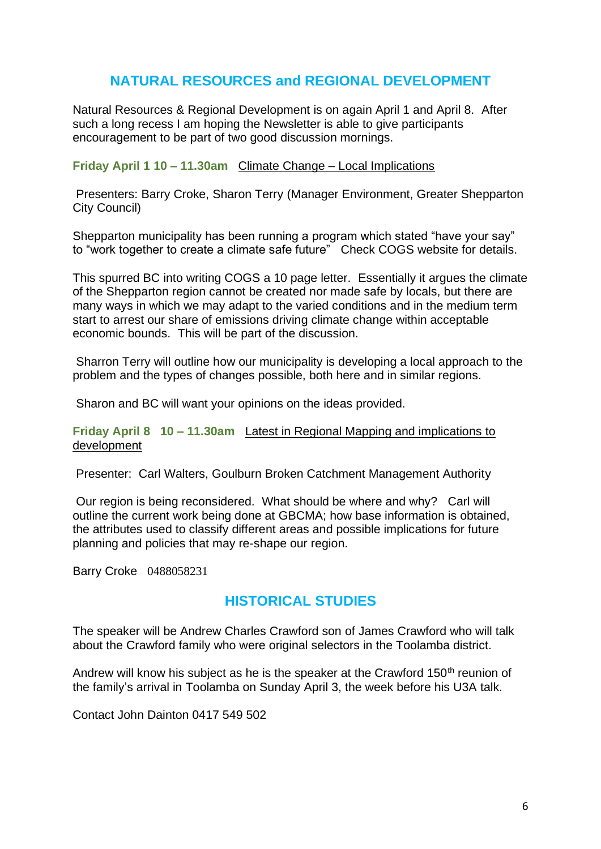# **NATURAL RESOURCES and REGIONAL DEVELOPMENT**

Natural Resources & Regional Development is on again April 1 and April 8. After such a long recess I am hoping the Newsletter is able to give participants encouragement to be part of two good discussion mornings.

#### **Friday April 1 10 – 11.30am** Climate Change – Local Implications

Presenters: Barry Croke, Sharon Terry (Manager Environment, Greater Shepparton City Council)

Shepparton municipality has been running a program which stated "have your say" to "work together to create a climate safe future" Check COGS website for details.

This spurred BC into writing COGS a 10 page letter. Essentially it argues the climate of the Shepparton region cannot be created nor made safe by locals, but there are many ways in which we may adapt to the varied conditions and in the medium term start to arrest our share of emissions driving climate change within acceptable economic bounds. This will be part of the discussion.

Sharron Terry will outline how our municipality is developing a local approach to the problem and the types of changes possible, both here and in similar regions.

Sharon and BC will want your opinions on the ideas provided.

#### **Friday April 8 10 – 11.30am** Latest in Regional Mapping and implications to development

Presenter: Carl Walters, Goulburn Broken Catchment Management Authority

Our region is being reconsidered. What should be where and why? Carl will outline the current work being done at GBCMA; how base information is obtained, the attributes used to classify different areas and possible implications for future planning and policies that may re-shape our region.

Barry Croke 0488058231

## **HISTORICAL STUDIES**

The speaker will be Andrew Charles Crawford son of James Crawford who will talk about the Crawford family who were original selectors in the Toolamba district.

Andrew will know his subject as he is the speaker at the Crawford 150<sup>th</sup> reunion of the family's arrival in Toolamba on Sunday April 3, the week before his U3A talk.

Contact John Dainton 0417 549 502